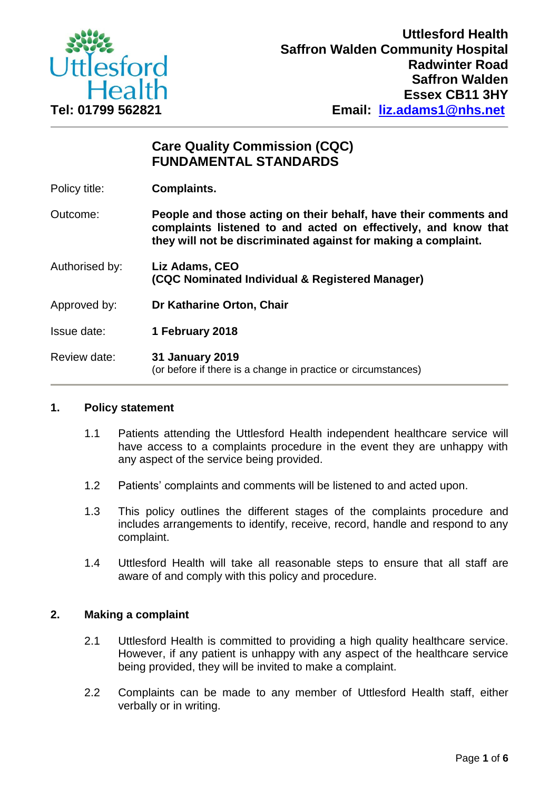

# **Care Quality Commission (CQC) FUNDAMENTAL STANDARDS**

Policy title: **Complaints.**

Outcome: **People and those acting on their behalf, have their comments and complaints listened to and acted on effectively, and know that they will not be discriminated against for making a complaint.**

- Authorised by: **Liz Adams, CEO (CQC Nominated Individual & Registered Manager)**
- Approved by: **Dr Katharine Orton, Chair**

Issue date: **1 February 2018**

Review date: **31 January 2019** (or before if there is a change in practice or circumstances)

# **1. Policy statement**

- 1.1 Patients attending the Uttlesford Health independent healthcare service will have access to a complaints procedure in the event they are unhappy with any aspect of the service being provided.
- 1.2 Patients' complaints and comments will be listened to and acted upon.
- 1.3 This policy outlines the different stages of the complaints procedure and includes arrangements to identify, receive, record, handle and respond to any complaint.
- 1.4 Uttlesford Health will take all reasonable steps to ensure that all staff are aware of and comply with this policy and procedure.

# **2. Making a complaint**

- 2.1 Uttlesford Health is committed to providing a high quality healthcare service. However, if any patient is unhappy with any aspect of the healthcare service being provided, they will be invited to make a complaint.
- 2.2 Complaints can be made to any member of Uttlesford Health staff, either verbally or in writing.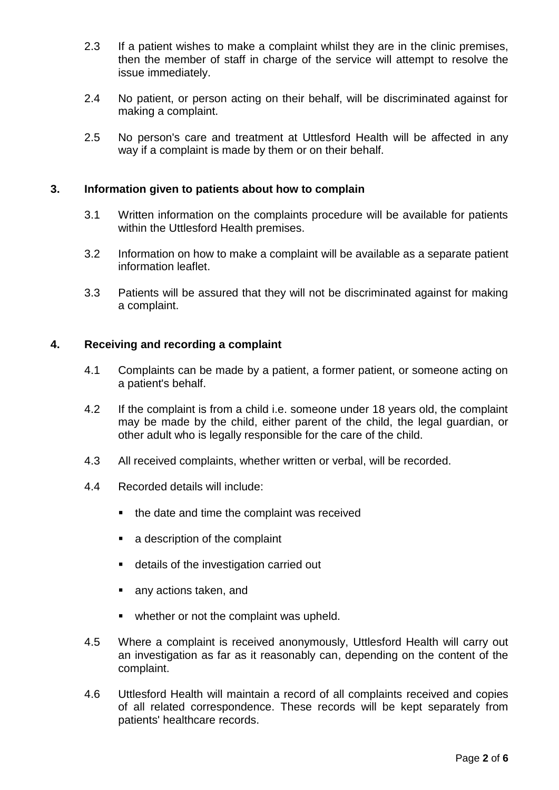- 2.3 If a patient wishes to make a complaint whilst they are in the clinic premises, then the member of staff in charge of the service will attempt to resolve the issue immediately.
- 2.4 No patient, or person acting on their behalf, will be discriminated against for making a complaint.
- 2.5 No person's care and treatment at Uttlesford Health will be affected in any way if a complaint is made by them or on their behalf.

#### **3. Information given to patients about how to complain**

- 3.1 Written information on the complaints procedure will be available for patients within the Uttlesford Health premises.
- 3.2 Information on how to make a complaint will be available as a separate patient information leaflet.
- 3.3 Patients will be assured that they will not be discriminated against for making a complaint.

# **4. Receiving and recording a complaint**

- 4.1 Complaints can be made by a patient, a former patient, or someone acting on a patient's behalf.
- 4.2 If the complaint is from a child i.e. someone under 18 years old, the complaint may be made by the child, either parent of the child, the legal guardian, or other adult who is legally responsible for the care of the child.
- 4.3 All received complaints, whether written or verbal, will be recorded.
- 4.4 Recorded details will include:
	- the date and time the complaint was received
	- a description of the complaint
	- details of the investigation carried out
	- any actions taken, and
	- whether or not the complaint was upheld.
- 4.5 Where a complaint is received anonymously, Uttlesford Health will carry out an investigation as far as it reasonably can, depending on the content of the complaint.
- 4.6 Uttlesford Health will maintain a record of all complaints received and copies of all related correspondence. These records will be kept separately from patients' healthcare records.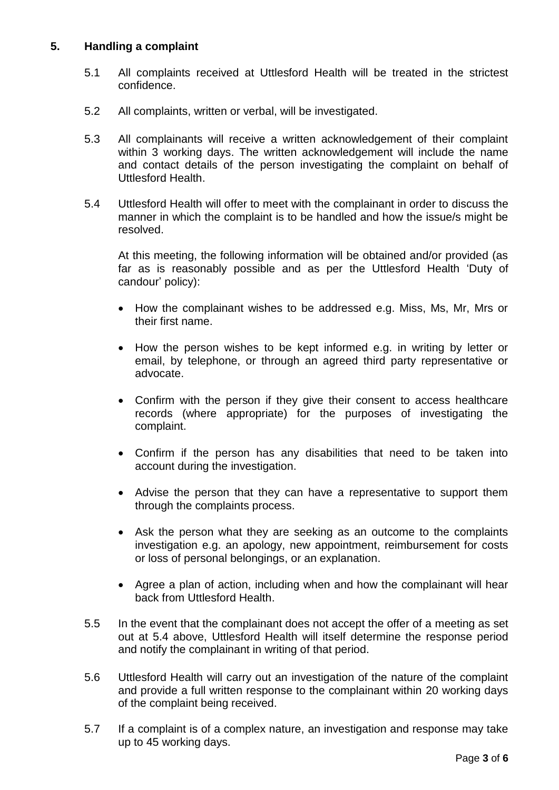# **5. Handling a complaint**

- 5.1 All complaints received at Uttlesford Health will be treated in the strictest confidence.
- 5.2 All complaints, written or verbal, will be investigated.
- 5.3 All complainants will receive a written acknowledgement of their complaint within 3 working days. The written acknowledgement will include the name and contact details of the person investigating the complaint on behalf of Uttlesford Health.
- 5.4 Uttlesford Health will offer to meet with the complainant in order to discuss the manner in which the complaint is to be handled and how the issue/s might be resolved.

At this meeting, the following information will be obtained and/or provided (as far as is reasonably possible and as per the Uttlesford Health 'Duty of candour' policy):

- How the complainant wishes to be addressed e.g. Miss, Ms, Mr, Mrs or their first name.
- How the person wishes to be kept informed e.g. in writing by letter or email, by telephone, or through an agreed third party representative or advocate.
- Confirm with the person if they give their consent to access healthcare records (where appropriate) for the purposes of investigating the complaint.
- Confirm if the person has any disabilities that need to be taken into account during the investigation.
- Advise the person that they can have a representative to support them through the complaints process.
- Ask the person what they are seeking as an outcome to the complaints investigation e.g. an apology, new appointment, reimbursement for costs or loss of personal belongings, or an explanation.
- Agree a plan of action, including when and how the complainant will hear back from Uttlesford Health.
- 5.5 In the event that the complainant does not accept the offer of a meeting as set out at 5.4 above, Uttlesford Health will itself determine the response period and notify the complainant in writing of that period.
- 5.6 Uttlesford Health will carry out an investigation of the nature of the complaint and provide a full written response to the complainant within 20 working days of the complaint being received.
- 5.7 If a complaint is of a complex nature, an investigation and response may take up to 45 working days.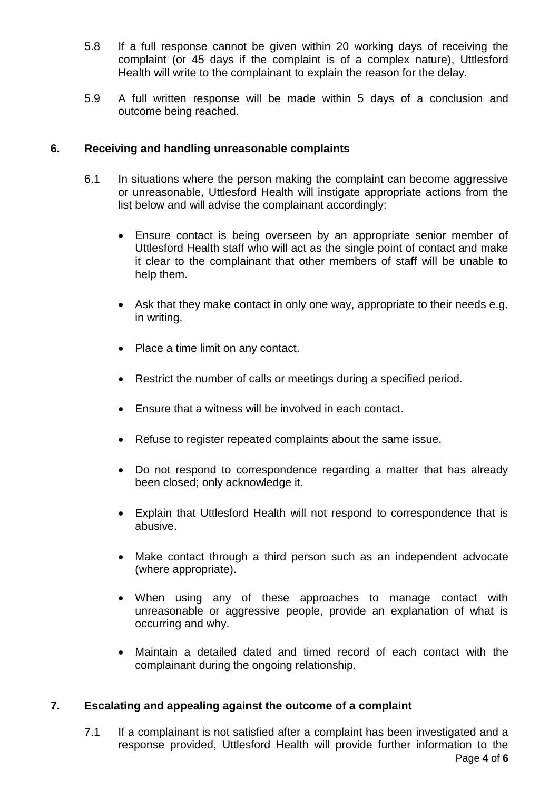- 5.8 If a full response cannot be given within 20 working days of receiving the complaint (or 45 days if the complaint is of a complex nature), Uttlesford Health will write to the complainant to explain the reason for the delay.
- 5.9 A full written response will be made within 5 days of a conclusion and outcome being reached.

# **6. Receiving and handling unreasonable complaints**

- 6.1 In situations where the person making the complaint can become aggressive or unreasonable, Uttlesford Health will instigate appropriate actions from the list below and will advise the complainant accordingly:
	- Ensure contact is being overseen by an appropriate senior member of Uttlesford Health staff who will act as the single point of contact and make it clear to the complainant that other members of staff will be unable to help them.
	- Ask that they make contact in only one way, appropriate to their needs e.g. in writing.
	- Place a time limit on any contact.
	- Restrict the number of calls or meetings during a specified period.
	- Ensure that a witness will be involved in each contact.
	- Refuse to register repeated complaints about the same issue.
	- Do not respond to correspondence regarding a matter that has already been closed; only acknowledge it.
	- Explain that Uttlesford Health will not respond to correspondence that is abusive.
	- Make contact through a third person such as an independent advocate (where appropriate).
	- When using any of these approaches to manage contact with unreasonable or aggressive people, provide an explanation of what is occurring and why.
	- Maintain a detailed dated and timed record of each contact with the complainant during the ongoing relationship.

# **7. Escalating and appealing against the outcome of a complaint**

Page **4** of **6** 7.1 If a complainant is not satisfied after a complaint has been investigated and a response provided, Uttlesford Health will provide further information to the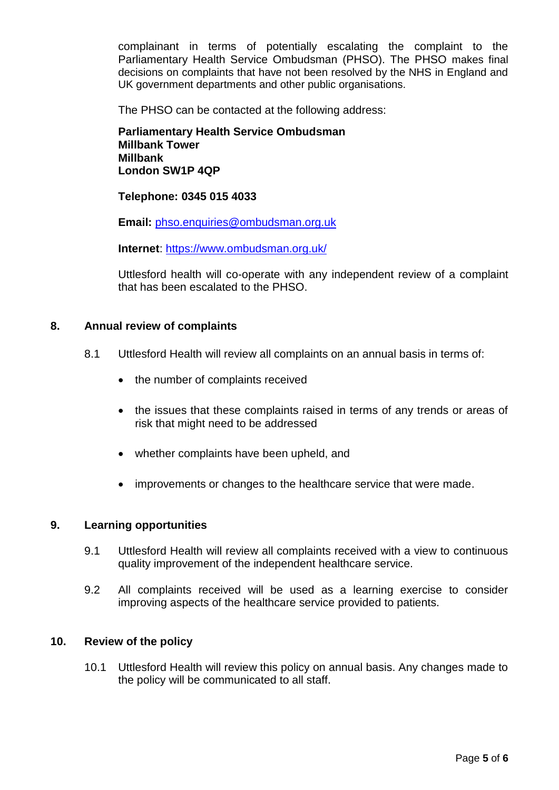complainant in terms of potentially escalating the complaint to the Parliamentary Health Service Ombudsman (PHSO). The PHSO makes final decisions on complaints that have not been resolved by the NHS in England and UK government departments and other public organisations.

The PHSO can be contacted at the following address:

**Parliamentary Health Service Ombudsman Millbank Tower Millbank London SW1P 4QP**

**Telephone: 0345 015 4033**

**Email:** [phso.enquiries@ombudsman.org.uk](mailto:phso.enquiries@ombudsman.org.uk)

**Internet**:<https://www.ombudsman.org.uk/>

Uttlesford health will co-operate with any independent review of a complaint that has been escalated to the PHSO.

#### **8. Annual review of complaints**

- 8.1 Uttlesford Health will review all complaints on an annual basis in terms of:
	- the number of complaints received
	- the issues that these complaints raised in terms of any trends or areas of risk that might need to be addressed
	- whether complaints have been upheld, and
	- improvements or changes to the healthcare service that were made.

#### **9. Learning opportunities**

- 9.1 Uttlesford Health will review all complaints received with a view to continuous quality improvement of the independent healthcare service.
- 9.2 All complaints received will be used as a learning exercise to consider improving aspects of the healthcare service provided to patients.

#### **10. Review of the policy**

10.1 Uttlesford Health will review this policy on annual basis. Any changes made to the policy will be communicated to all staff.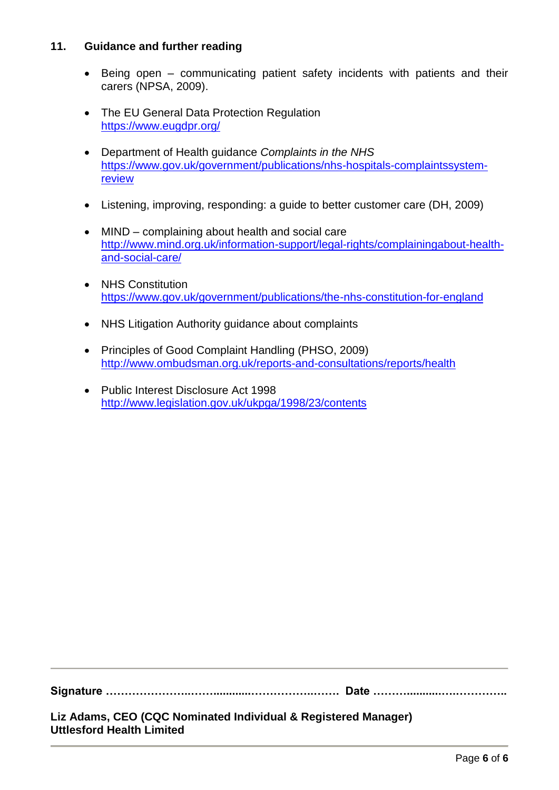# **11. Guidance and further reading**

- Being open communicating patient safety incidents with patients and their carers (NPSA, 2009).
- The EU General Data Protection Regulation <https://www.eugdpr.org/>
- Department of Health guidance *Complaints in the NHS* [https://www.gov.uk/government/publications/nhs-hospitals-complaintssystem](https://www.gov.uk/government/publications/nhs-hospitals-complaintssystem-review)[review](https://www.gov.uk/government/publications/nhs-hospitals-complaintssystem-review)
- Listening, improving, responding: a guide to better customer care (DH, 2009)
- MIND complaining about health and social care [http://www.mind.org.uk/information-support/legal-rights/complainingabout-health](http://www.mind.org.uk/information-support/legal-rights/complainingabout-health-and-social-care/)[and-social-care/](http://www.mind.org.uk/information-support/legal-rights/complainingabout-health-and-social-care/)
- NHS Constitution <https://www.gov.uk/government/publications/the-nhs-constitution-for-england>
- NHS Litigation Authority guidance about complaints
- Principles of Good Complaint Handling (PHSO, 2009) <http://www.ombudsman.org.uk/reports-and-consultations/reports/health>
- Public Interest Disclosure Act 1998 <http://www.legislation.gov.uk/ukpga/1998/23/contents>

**Signature …………………..……............……………..……. Date ………...........….…………..**

**Liz Adams, CEO (CQC Nominated Individual & Registered Manager) Uttlesford Health Limited**